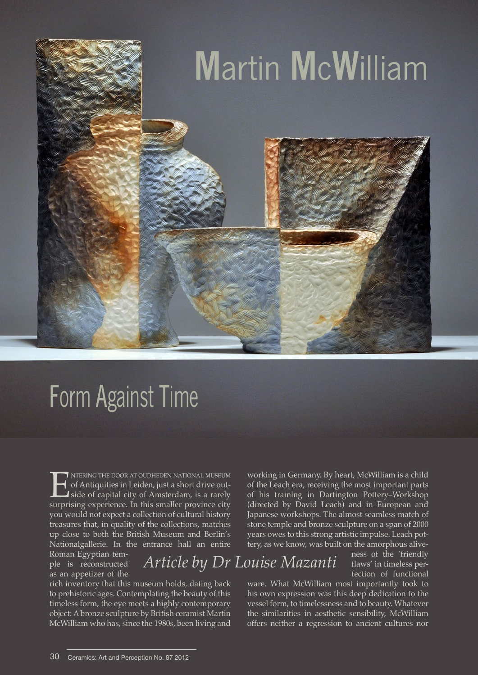

## Form Against Time

**ENT NTERING THE DOOR AT OUDHEDEN NATIONAL MUSEUM**<br>of Antiquities in Leiden, just a short drive outside of capital city of Amsterdam, is a rarely<br>surprising experience. In this smaller province city of Antiquities in Leiden, just a short drive outside of capital city of Amsterdam, is a rarely surprising experience. In this smaller province city you would not expect a collection of cultural history treasures that, in quality of the collections, matches up close to both the British Museum and Berlin's Nationalgallerie. In the entrance hall an entire

Roman Egyptian temple is reconstructed as an appetizer of the

*Article by Dr Louise Mazanti*

rich inventory that this museum holds, dating back to prehistoric ages. Contemplating the beauty of this timeless form, the eye meets a highly contemporary object: A bronze sculpture by British ceramist Martin McWilliam who has, since the 1980s, been living and

working in Germany. By heart, McWilliam is a child of the Leach era, receiving the most important parts of his training in Dartington Pottery–Workshop (directed by David Leach) and in European and Japanese workshops. The almost seamless match of stone temple and bronze sculpture on a span of 2000 years owes to this strong artistic impulse. Leach pottery, as we know, was built on the amorphous alive-

ness of the 'friendly flaws' in timeless perfection of functional

ware. What McWilliam most importantly took to his own expression was this deep dedication to the vessel form, to timelessness and to beauty. Whatever the similarities in aesthetic sensibility, McWilliam offers neither a regression to ancient cultures nor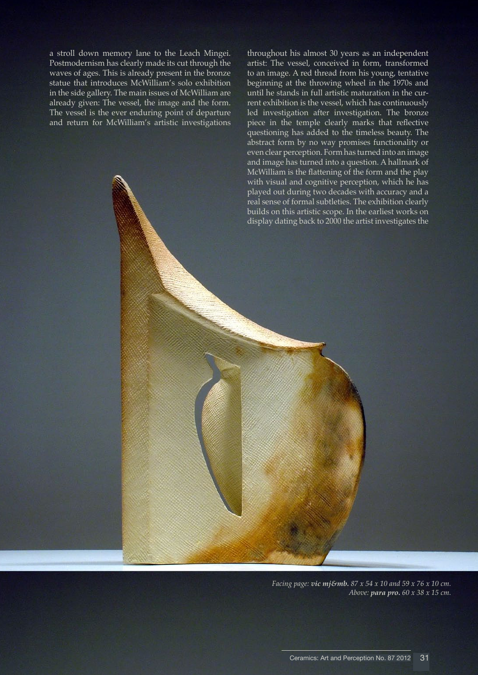a stroll down memory lane to the Leach Mingei. Postmodernism has clearly made its cut through the waves of ages. This is already present in the bronze statue that introduces McWilliam's solo exhibition in the side gallery. The main issues of McWilliam are already given: The vessel, the image and the form. The vessel is the ever enduring point of departure and return for McWilliam's artistic investigations

throughout his almost 30 years as an independent artist: The vessel, conceived in form, transformed to an image. A red thread from his young, tentative beginning at the throwing wheel in the 1970s and until he stands in full artistic maturation in the current exhibition is the vessel, which has continuously led investigation after investigation. The bronze piece in the temple clearly marks that reflective questioning has added to the timeless beauty. The abstract form by no way promises functionality or even clear perception. Form has turned into an image and image has turned into a question. A hallmark of McWilliam is the flattening of the form and the play with visual and cognitive perception, which he has played out during two decades with accuracy and a real sense of formal subtleties. The exhibition clearly builds on this artistic scope. In the earliest works on display dating back to 2000 the artist investigates the

*Facing page: vic mj&mb. 87 x 54 x 10 and 59 x 76 x 10 cm. Above: para pro. 60 x 38 x 15 cm.*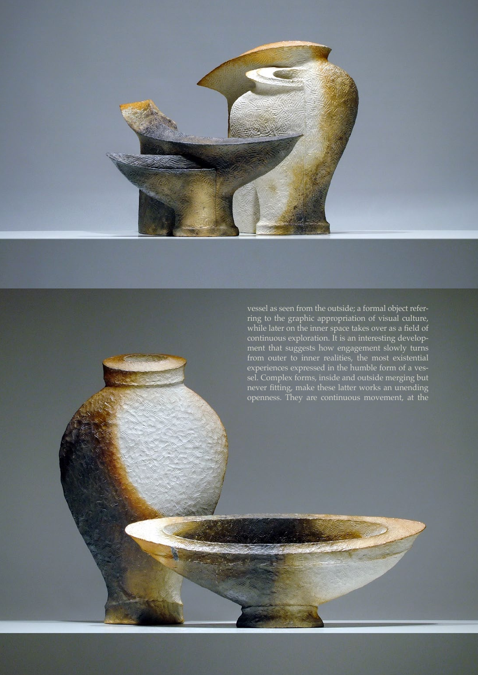

vessel as seen from the outside; a formal object referring to the graphic appropriation of visual culture, while later on the inner space takes over as a field of continuous exploration. It is an interesting development that suggests how engagement slowly turns from outer to inner realities, the most existential experiences expressed in the humble form of a vessel. Complex forms, inside and outside merging but never fitting, make these latter works an unending openness. They are continuous movement, at the